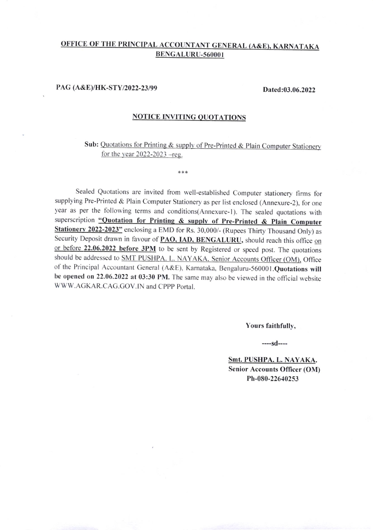# OFFICE OF THE PRINCIPAL ACCOUNTANT GENERAL (A&E). KARNATAKA BENGALURU-560001

## PAG (A&E)/HK-STY/2022-23/99

#### Dated:03.06.2022

### NOTICE INVITING QUOTATIONS

\*\*\*

Sub: Quotations for Printing & supply of Pre-Printed & Plain Computer Stationery for the year  $2022 - 2023$  -reg.

Sealed Quotations are invited from well-established Computer stationery firms for supplying Pre-Printed & Plain computer Stationery as per list enclosed (Annexure-2), for one year as per the following terms and conditions(Annexure-1). The sealed quotations with superscription "Quotation for Printing & supply of Pre-Printed & Plain Computer Stationery 2022-2023" enclosing a EMD for Rs. 30,000/- (Rupees Thirty Thousand Only) as Security Deposit drawn in favour of PAO, IAD, BENGALURU, should reach this office on or before 22.06.2022 before 3PM to be sent by Registered or speed post. The quotations should be addressed to SMT PUSHPA. L. NAYAKA, Senior Accounts Officer (OM), Office of the Principal Accountant General (A&E), Karnataka, Bengaluru-560001 .Quotations will be opened on 22.06.2022 at 03:30 PM. The same may also be viewed in the ofticial website WWW.AGKAR.CAG.GOV.IN and CPPP Portal.

Yours faithfullv,

----sd----

Smt. PUSHPA. L. NAYAKA. Senior Accounts Officer (OM) Ph-080-22640253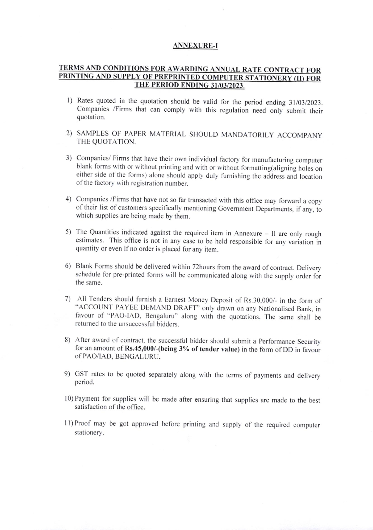#### **ANNEXURE-I**

## TERMS AND CONDITIONS FOR AWARDING ANNUAL RATE CONTRACT FOR PRINTING AND SUPPLY OF PREPRINTED COMPUTER STATIONERY (II) FOR THE PERIOD ENDING 31/03/2023.

- 1) Rates quoted in the quotation should be valid for the period ending 31/03/2023. Companies /Firms that can comply with this regulation need only submit their quotation.
- 2) SAMPLES OF PAPER MATERIAL SHOULD MANDATORILY ACCOMPANY THE QUOTATION.
- 3) Companies/ Firms that have their own individual factory for manufacturing computer blank forms with or without printing and with or without formatting(aligning holes on either side of the forms) alone should apply duly furnishing the address and location of the factory with registration number.
- 4) Companies /Firms that have not so far transacted with this office may forward a copy of their list of customers specifically mentioning covernment Departments. if any. to which supplies are being made by them.
- 5) The Quantities indicated against the required item in Annexure ll are only rough estimates. This office is not in any case to be held responsible for any variation in quantity or even if no order is placed for any item.
- 6) Blank Forms should be delivered within 72 hours from the award of contract. Delivery schedule for pre-printed forms will be communicated along with the supply order for the same.
- 7) All Tenders should furnish a Earnest Money Deposit of Rs.30,000/- in the form of "ACCOUNT PAYEE DEMAND DRAFT" only drawn on any Nationalised Bank, in favour of "PAO-IAD, Bengaluru" along with the quotations. The same shall be returned to the unsuccessful bidders.
- 8) After award of contract, the successful bidder should submit a Performance Security for an amount of  $Rs.45,000$ /-(being  $3%$  of tender value) in the form of DD in favour ofPAO/IAD. BENGALURU.
- 9) GST rates to be quoted separately along with the terms of payments and delivery period.
- l0)Payment for supplies will be made after ensuring that supplies are made to the best satisfaction of the office.
- ll)Proof may be got approved befbre printing and supply of rhe required computer stationery.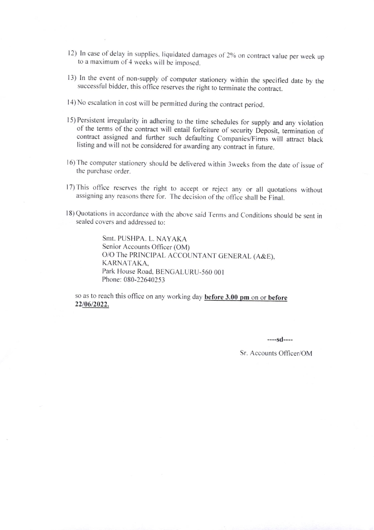- 12) In case of delay in supplies, liquidated damages of 2% on contract value per week up to a maximum of 4 weeks will be imposed.
- 13) In the event of non-supply of computer stationery within the specified date by the successful bidder, this office reserves the right to terminate the contract.
- l4) No escalation in cosl will be permitted during the contract period.
- I5) Persistent irregularity in adhering to the time schedules for supply and any violation of the terms of the contract will entail forfeiture of security Deposit, termination of contract assigned and further such defaulting Companies/Firms will attract black listing and will not be considered for awarding any contract in future.
- 16) The computer stationery should be delivered within 3weeks from the date of issue of the purchase order.
- l7)This office reserves the right to accept or reject any. or all quolations without assigning any reasons there for. The decision of the office shall be Final.
- 18) Quotations in accordance with the above said Terms and Conditions should be sent in sealed covers and addressed to:

Smt. PUSHPA. L. NAYAKA Senior Accounts Officer (OM) O/O The PRINCIPAL ACCOUNTANT GENERAL (A&E), KARNATAKA. Park House Road, BENGALURU-560 001 Phone: 080-22640253

so as to reach this office on any working day **before 3.00 pm** on or **before** 22/06/2022.

 $---sd---$ 

Sr. Accounts Officer/OM